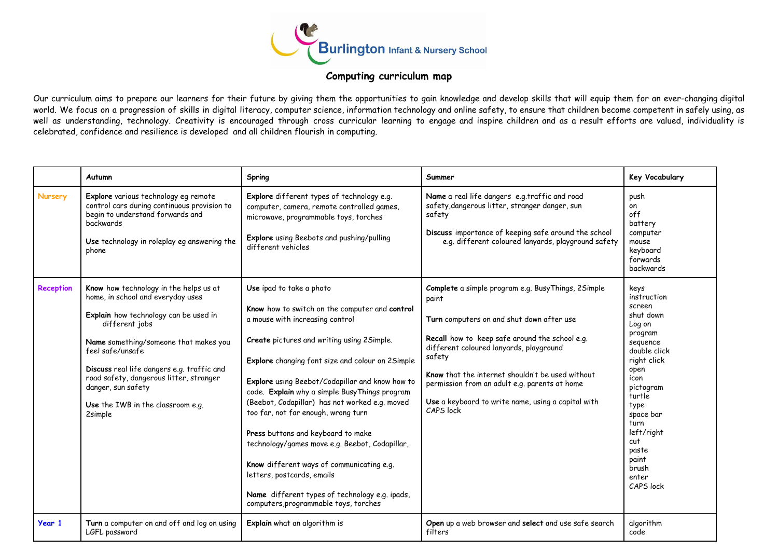

## **Computing curriculum map**

Our curriculum aims to prepare our learners for their future by giving them the opportunities to gain knowledge and develop skills that will equip them for an ever-changing digital world. We focus on a progression of skills in digital literacy, computer science, information technology and online safety, to ensure that children become competent in safely using, as well as understanding, technology. Creativity is encouraged through cross curricular learning to engage and inspire children and as a result efforts are valued, individuality is celebrated, confidence and resilience is developed and all children flourish in computing.

|                  | Autumn                                                                                                                                                                                                                                                                                                                                                             | Spring                                                                                                                                                                                                                                                                                                                                                                                                                                                                                                                                                                                                                                                                      | Summer                                                                                                                                                                                                                                                                                                                                                                                   | Key Vocabulary                                                                                                                                                                                                                                       |
|------------------|--------------------------------------------------------------------------------------------------------------------------------------------------------------------------------------------------------------------------------------------------------------------------------------------------------------------------------------------------------------------|-----------------------------------------------------------------------------------------------------------------------------------------------------------------------------------------------------------------------------------------------------------------------------------------------------------------------------------------------------------------------------------------------------------------------------------------------------------------------------------------------------------------------------------------------------------------------------------------------------------------------------------------------------------------------------|------------------------------------------------------------------------------------------------------------------------------------------------------------------------------------------------------------------------------------------------------------------------------------------------------------------------------------------------------------------------------------------|------------------------------------------------------------------------------------------------------------------------------------------------------------------------------------------------------------------------------------------------------|
| Nursery          | Explore various technology eg remote<br>control cars during continuous provision to<br>begin to understand forwards and<br>backwards<br>Use technology in roleplay eg answering the<br>phone                                                                                                                                                                       | Explore different types of technology e.g.<br>computer, camera, remote controlled games,<br>microwave, programmable toys, torches<br>Explore using Beebots and pushing/pulling<br>different vehicles                                                                                                                                                                                                                                                                                                                                                                                                                                                                        | Name a real life dangers e.g.traffic and road<br>safety, dangerous litter, stranger danger, sun<br>safety<br>Discuss importance of keeping safe around the school<br>e.g. different coloured lanyards, playground safety                                                                                                                                                                 | push<br>on<br>off<br>battery<br>computer<br>mouse<br>keyboard<br>forwards<br>backwards                                                                                                                                                               |
| <b>Reception</b> | Know how technology in the helps us at<br>home, in school and everyday uses<br>Explain how technology can be used in<br>different jobs<br>Name something/someone that makes you<br>feel safe/unsafe<br>Discuss real life dangers e.g. traffic and<br>road safety, dangerous litter, stranger<br>danger, sun safety<br>Use the IWB in the classroom e.g.<br>2simple | Use ipad to take a photo<br>Know how to switch on the computer and control<br>a mouse with increasing control<br>Create pictures and writing using 2Simple.<br>Explore changing font size and colour on 2Simple<br>Explore using Beebot/Codapillar and know how to<br>code. Explain why a simple Busy Things program<br>(Beebot, Codapillar) has not worked e.g. moved<br>too far, not far enough, wrong turn<br>Press buttons and keyboard to make<br>technology/games move e.g. Beebot, Codapillar,<br>Know different ways of communicating e.g.<br>letters, postcards, emails<br>Name different types of technology e.g. ipads,<br>computers, programmable toys, torches | Complete a simple program e.g. Busy Things, 2Simple<br>paint<br>Turn computers on and shut down after use<br>Recall how to keep safe around the school e.g.<br>different coloured lanyards, playground<br>safety<br>Know that the internet shouldn't be used without<br>permission from an adult e.g. parents at home<br>Use a keyboard to write name, using a capital with<br>CAPS lock | keys<br>instruction<br>screen<br>shut down<br>Log on<br>program<br>seguence<br>double click<br>right click<br>open<br>icon<br>pictogram<br>turtle<br>type<br>space bar<br>turn<br>left/right<br>cut<br>paste<br>paint<br>brush<br>enter<br>CAPS lock |
| Year 1           | Turn a computer on and off and log on using<br>LGFL password                                                                                                                                                                                                                                                                                                       | Explain what an algorithm is                                                                                                                                                                                                                                                                                                                                                                                                                                                                                                                                                                                                                                                | Open up a web browser and select and use safe search<br>filters                                                                                                                                                                                                                                                                                                                          | algorithm<br>code                                                                                                                                                                                                                                    |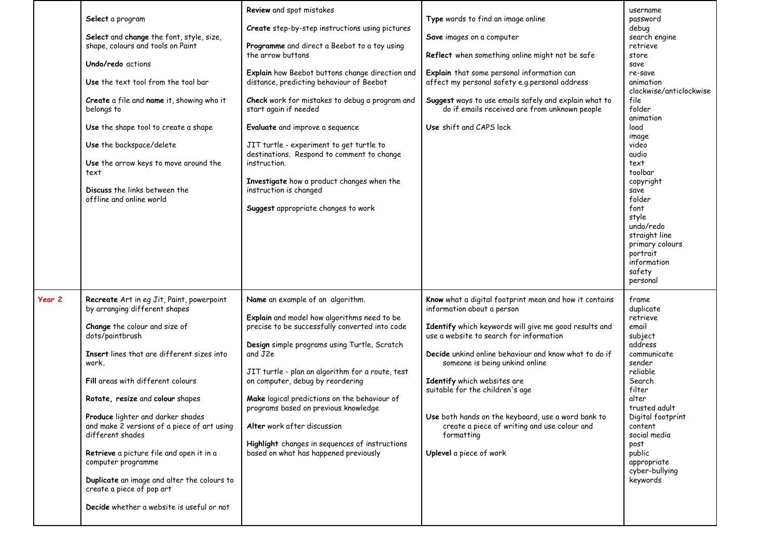|        | Select a program<br>Select and change the font, style, size,<br>shape, colours and tools on Paint<br>Undo/redo actions<br>Use the text tool from the tool bar<br>Create a file and name it, showing who it<br>belongs to<br>Use the shape tool to create a shape<br>Use the backspace/delete<br>Use the arrow keys to move around the<br>text<br>Discuss the links between the<br>offline and online world                                                                                                                                                               | Review and spot mistakes<br>Create step-by-step instructions using pictures<br>Programme and direct a Beebot to a toy using<br>the arrow buttons<br>Explain how Beebot buttons change direction and<br>distance, predicting behaviour of Beebot<br>Check work for mistakes to debug a program and<br>start again if needed<br>Evaluate and improve a sequence<br>JIT turtle - experiment to get turtle to<br>destinations. Respond to comment to change<br>instruction.<br>Investigate how a product changes when the<br>instruction is changed<br>Suggest appropriate changes to work | Type words to find an image online<br>Save images on a computer<br>Reflect when something online might not be safe<br>Explain that some personal information can<br>affect my personal safety e.g.personal address<br>Suggest ways to use emails safely and explain what to<br>do if emails received are from unknown people<br>Use shift and CAPS lock                                                                                                                                              | password<br>debug<br>search engine<br>retrieve<br>store<br>save<br>re-save<br>animation<br>clockwise/anticlockwise<br>file<br>folder<br>animation<br>load<br>image<br>video<br>audio<br>text<br>toolbar<br>copyright<br>save<br>folder<br>font<br>style<br>undo/redo<br>straight line<br>primary colours<br>portrait<br>information<br>safety<br>personal |
|--------|--------------------------------------------------------------------------------------------------------------------------------------------------------------------------------------------------------------------------------------------------------------------------------------------------------------------------------------------------------------------------------------------------------------------------------------------------------------------------------------------------------------------------------------------------------------------------|----------------------------------------------------------------------------------------------------------------------------------------------------------------------------------------------------------------------------------------------------------------------------------------------------------------------------------------------------------------------------------------------------------------------------------------------------------------------------------------------------------------------------------------------------------------------------------------|------------------------------------------------------------------------------------------------------------------------------------------------------------------------------------------------------------------------------------------------------------------------------------------------------------------------------------------------------------------------------------------------------------------------------------------------------------------------------------------------------|-----------------------------------------------------------------------------------------------------------------------------------------------------------------------------------------------------------------------------------------------------------------------------------------------------------------------------------------------------------|
| Year 2 | Recreate Art in eg Jit, Paint, powerpoint<br>by arranging different shapes<br>Change the colour and size of<br>dots/paintbrush<br><b>Insert</b> lines that are different sizes into<br>work.<br>Fill areas with different colours<br>Rotate, resize and colour shapes<br>Produce lighter and darker shades<br>and make 2 versions of a piece of art using<br>different shades<br>Retrieve a picture file and open it in a<br>computer programme<br>Duplicate an image and alter the colours to<br>create a piece of pop art<br>Decide whether a website is useful or not | Name an example of an algorithm.<br>Explain and model how algorithms need to be<br>precise to be successfully converted into code<br>Design simple programs using Turtle, Scratch<br>and J2e<br>JIT turtle - plan an algorithm for a route, test<br>on computer, debug by reordering<br>Make logical predictions on the behaviour of<br>programs based on previous knowledge<br>Alter work after discussion<br>Highlight changes in sequences of instructions<br>based on what has happened previously                                                                                 | Know what a digital footprint mean and how it contains<br>information about a person<br>Identify which keywords will give me good results and<br>use a website to search for information<br>Decide unkind online behaviour and know what to do if<br>someone is being unkind online<br>Identify which websites are<br>suitable for the children's age<br>Use both hands on the keyboard, use a word bank to<br>create a piece of writing and use colour and<br>formatting<br>Uplevel a piece of work | frame<br>duplicate<br>retrieve<br>email<br>subject<br>address<br>communicate<br>sender<br>reliable<br>Search<br>filter<br>alter<br>trusted adult<br>Digital footprint<br>content<br>social media<br>post<br>public<br>appropriate<br>cyber-bullying<br>keywords                                                                                           |